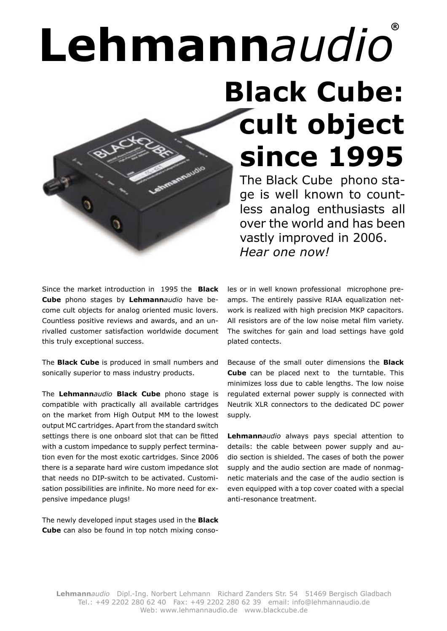# **Lehmann***audio***® Black Cube: cult object since 1995**

The Black Cube phono stage is well known to countless analog enthusiasts all over the world and has been vastly improved in 2006. *Hear one now!*

Since the market introduction in 1995 the **Black Cube** phono stages by **Lehmann***audio* have become cult objects for analog oriented music lovers. Countless positive reviews and awards, and an unrivalled customer satisfaction worldwide document this truly exceptional success.

The **Black Cube** is produced in small numbers and sonically superior to mass industry products.

The **Lehmann***audio* **Black Cube** phono stage is compatible with practically all available cartridges on the market from High Output MM to the lowest output MC cartridges. Apart from the standard switch settings there is one onboard slot that can be fitted with a custom impedance to supply perfect termination even for the most exotic cartridges. Since 2006 there is a separate hard wire custom impedance slot that needs no DIP-switch to be activated. Customisation possibilities are infinite. No more need for expensive impedance plugs!

The newly developed input stages used in the **Black Cube** can also be found in top notch mixing consoles or in well known professional microphone preamps. The entirely passive RIAA equalization network is realized with high precision MKP capacitors. All resistors are of the low noise metal film variety. The switches for gain and load settings have gold plated contects.

Because of the small outer dimensions the **Black Cube** can be placed next to the turntable. This minimizes loss due to cable lengths. The low noise regulated external power supply is connected with Neutrik XLR connectors to the dedicated DC power supply.

**Lehmann***audio* always pays special attention to details: the cable between power supply and audio section is shielded. The cases of both the power supply and the audio section are made of nonmagnetic materials and the case of the audio section is even equipped with a top cover coated with a special anti-resonance treatment.

**Lehmann***audio* Dipl.-Ing. Norbert Lehmann Richard Zanders Str. 54 51469 Bergisch Gladbach Tel.: +49 2202 280 62 40 Fax: +49 2202 280 62 39 email: info@lehmannaudio.de Web: www.lehmannaudio.de www.blackcube.de